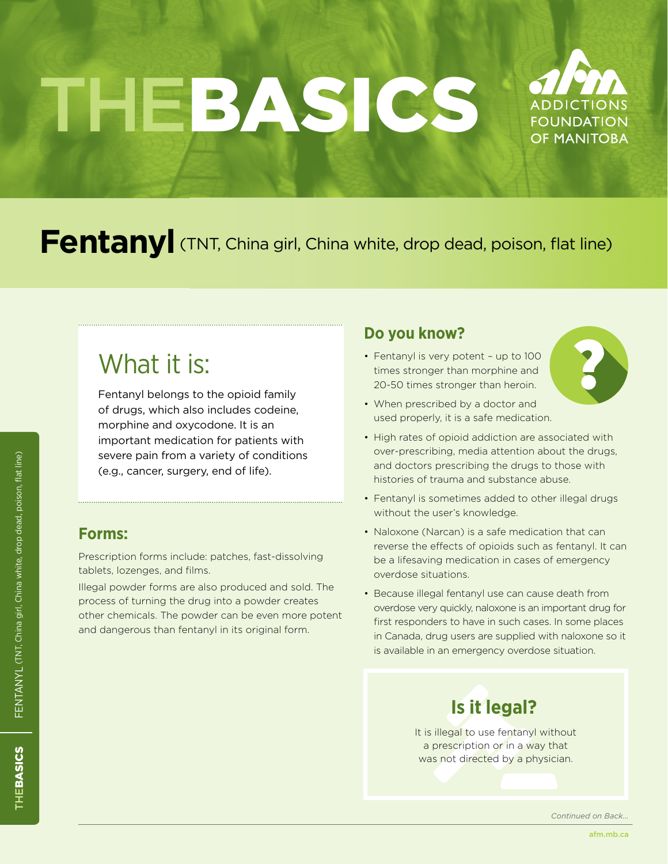# THEBASICS



## Fentanyl (TNT, China girl, China white, drop dead, poison, flat line)

## What it is:

Fentanyl belongs to the opioid family of drugs, which also includes codeine, morphine and oxycodone. It is an important medication for patients with severe pain from a variety of conditions (e.g., cancer, surgery, end of life).

## **Forms:**

Prescription forms include: patches, fast-dissolving tablets, lozenges, and films.

Illegal powder forms are also produced and sold. The process of turning the drug into a powder creates other chemicals. The powder can be even more potent and dangerous than fentanyl in its original form.

## **Do you know?**

• Fentanyl is very potent - up to 100 times stronger than morphine and 20-50 times stronger than heroin.



- When prescribed by a doctor and used properly, it is a safe medication.
- High rates of opioid addiction are associated with over-prescribing, media attention about the drugs, and doctors prescribing the drugs to those with histories of trauma and substance abuse.
- Fentanyl is sometimes added to other illegal drugs without the user's knowledge.
- Naloxone (Narcan) is a safe medication that can reverse the effects of opioids such as fentanyl. It can be a lifesaving medication in cases of emergency overdose situations.
- Because illegal fentanyl use can cause death from overdose very quickly, naloxone is an important drug for first responders to have in such cases. In some places in Canada, drug users are supplied with naloxone so it is available in an emergency overdose situation.

## **Is it legal?**

It is illegal to use fentanyl without a prescription or in a way that was not directed by a physician.

*Continued on Back...*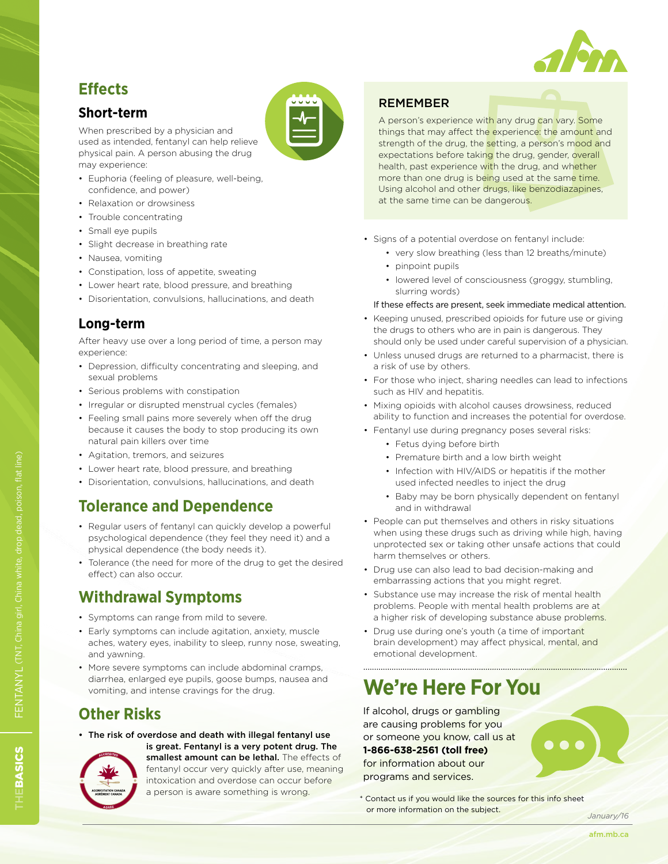

## **Effects**

### **Short-term**

When prescribed by a physician and used as intended, fentanyl can help relieve physical pain. A person abusing the drug may experience:

- • Euphoria (feeling of pleasure, well-being, confidence, and power)
- Relaxation or drowsiness
- Trouble concentrating
- Small eve pupils
- Slight decrease in breathing rate
- • Nausea, vomiting
- Constipation, loss of appetite, sweating
- Lower heart rate, blood pressure, and breathing
- • Disorientation, convulsions, hallucinations, and death

#### **Long-term**

After heavy use over a long period of time, a person may experience:

- Depression, difficulty concentrating and sleeping, and sexual problems
- Serious problems with constipation
- Irregular or disrupted menstrual cycles (females)
- Feeling small pains more severely when off the drug because it causes the body to stop producing its own natural pain killers over time
- • Agitation, tremors, and seizures
- Lower heart rate, blood pressure, and breathing
- Disorientation, convulsions, hallucinations, and death

## **Tolerance and Dependence**

- Regular users of fentanyl can quickly develop a powerful psychological dependence (they feel they need it) and a physical dependence (the body needs it).
- Tolerance (the need for more of the drug to get the desired effect) can also occur.

## **Withdrawal Symptoms**

- • Symptoms can range from mild to severe.
- Early symptoms can include agitation, anxiety, muscle aches, watery eyes, inability to sleep, runny nose, sweating, and yawning.
- More severe symptoms can include abdominal cramps, diarrhea, enlarged eye pupils, goose bumps, nausea and vomiting, and intense cravings for the drug.

## **Other Risks**

• The risk of overdose and death with illegal fentanyl use is great. Fentanyl is a very potent drug. The



smallest amount can be lethal. The effects of fentanyl occur very quickly after use, meaning intoxication and overdose can occur before a person is aware something is wrong.

#### REMEMBER

A person's experience with any drug can vary. Some things that may affect the experience: the amount and strength of the drug, the setting, a person's mood and expectations before taking the drug, gender, overall health, past experience with the drug, and whether more than one drug is being used at the same time. Using alcohol and other drugs, like benzodiazapines, at the same time can be dangerous.

- Signs of a potential overdose on fentanyl include:
	- very slow breathing (less than 12 breaths/minute)
	- pinpoint pupils
	- lowered level of consciousness (groggy, stumbling, slurring words)
	- If these effects are present, seek immediate medical attention.
- Keeping unused, prescribed opioids for future use or giving the drugs to others who are in pain is dangerous. They should only be used under careful supervision of a physician.
- Unless unused drugs are returned to a pharmacist, there is a risk of use by others.
- For those who inject, sharing needles can lead to infections such as HIV and hepatitis.
- Mixing opioids with alcohol causes drowsiness, reduced ability to function and increases the potential for overdose.
- Fentanyl use during pregnancy poses several risks:
	- • Fetus dying before birth
	- • Premature birth and a low birth weight
	- Infection with HIV/AIDS or hepatitis if the mother used infected needles to inject the drug
	- Baby may be born physically dependent on fentanyl and in withdrawal
- People can put themselves and others in risky situations when using these drugs such as driving while high, having unprotected sex or taking other unsafe actions that could harm themselves or others.
- Drug use can also lead to bad decision-making and embarrassing actions that you might regret.
- Substance use may increase the risk of mental health problems. People with mental health problems are at a higher risk of developing substance abuse problems.
- Drug use during one's youth (a time of important brain development) may affect physical, mental, and emotional development.

## **We're Here For You**

If alcohol, drugs or gambling are causing problems for you or someone you know, call us at **1-866-638-2561 (toll free)** for information about our programs and services.



\* Contact us if you would like the sources for this info sheet or more information on the subject.

*January/16*

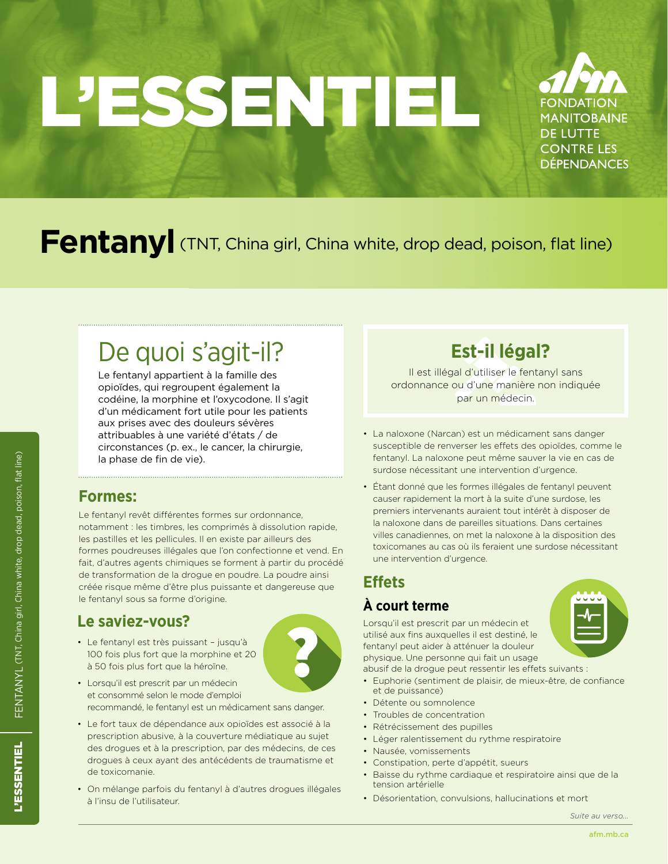# L'ESSENTIEL



# Fentanyl (TNT, China girl, China white, drop dead, poison, flat line)

# De quoi s'agit-il?

Le fentanyl appartient à la famille des opioïdes, qui regroupent également la codéine, la morphine et l'oxycodone. Il s'agit d'un médicament fort utile pour les patients aux prises avec des douleurs sévères attribuables à une variété d'états / de circonstances (p. ex., le cancer, la chirurgie, la phase de fin de vie).

## **Formes:**

Le fentanyl revêt différentes formes sur ordonnance, notamment : les timbres, les comprimés à dissolution rapide, les pastilles et les pellicules. Il en existe par ailleurs des formes poudreuses illégales que l'on confectionne et vend. En fait, d'autres agents chimiques se forment à partir du procédé de transformation de la drogue en poudre. La poudre ainsi créée risque même d'être plus puissante et dangereuse que le fentanyl sous sa forme d'origine.

## **Le saviez-vous?**

• Le fentanyl est très puissant – jusqu'à 100 fois plus fort que la morphine et 20 à 50 fois plus fort que la héroïne.



- • Lorsqu'il est prescrit par un médecin et consommé selon le mode d'emploi recommandé, le fentanyl est un médicament sans danger.
- • Le fort taux de dépendance aux opioïdes est associé à la prescription abusive, à la couverture médiatique au sujet des drogues et à la prescription, par des médecins, de ces drogues à ceux ayant des antécédents de traumatisme et de toxicomanie.
- • On mélange parfois du fentanyl à d'autres drogues illégales à l'insu de l'utilisateur.

## **Est-il légal?**

Il est illégal d'utiliser le fentanyl sans ordonnance ou d'une manière non indiquée par un médecin.

- La naloxone (Narcan) est un médicament sans danger susceptible de renverser les effets des opioïdes, comme le fentanyl. La naloxone peut même sauver la vie en cas de surdose nécessitant une intervention d'urgence.
- Étant donné que les formes illégales de fentanyl peuvent causer rapidement la mort à la suite d'une surdose, les premiers intervenants auraient tout intérêt à disposer de la naloxone dans de pareilles situations. Dans certaines villes canadiennes, on met la naloxone à la disposition des toxicomanes au cas où ils feraient une surdose nécessitant une intervention d'urgence.

## **Effets À court terme**

physique. Une personne qui fait un usage abusif de la drogue peut ressentir les effets suivants :

- • Euphorie (sentiment de plaisir, de mieux-être, de confiance et de puissance)
- • Détente ou somnolence
- Troubles de concentration
- • Rétrécissement des pupilles

Lorsqu'il est prescrit par un médecin et utilisé aux fins auxquelles il est destiné, le fentanyl peut aider à atténuer la douleur

- • Léger ralentissement du rythme respiratoire
- • Nausée, vomissements
- • Constipation, perte d'appétit, sueurs
- Baisse du rythme cardiaque et respiratoire ainsi que de la tension artérielle
- Désorientation, convulsions, hallucinations et mort